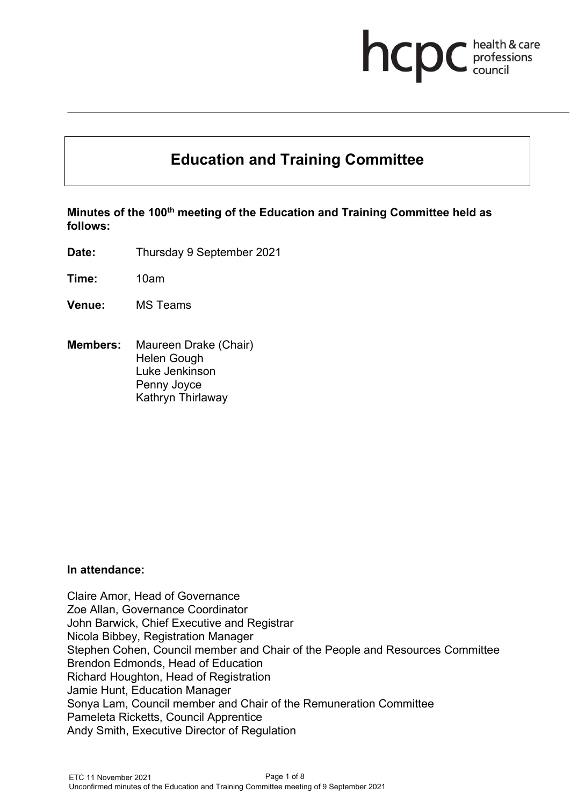# **NCDC** health & care

# **Education and Training Committee**

**Minutes of the 100th meeting of the Education and Training Committee held as follows:**

**Date:** Thursday 9 September 2021

**Time:** 10am

- **Venue:** MS Teams
- **Members:** Maureen Drake (Chair) Helen Gough Luke Jenkinson Penny Joyce Kathryn Thirlaway

#### **In attendance:**

Claire Amor, Head of Governance Zoe Allan, Governance Coordinator John Barwick, Chief Executive and Registrar Nicola Bibbey, Registration Manager Stephen Cohen, Council member and Chair of the People and Resources Committee Brendon Edmonds, Head of Education Richard Houghton, Head of Registration Jamie Hunt, Education Manager Sonya Lam, Council member and Chair of the Remuneration Committee Pameleta Ricketts, Council Apprentice Andy Smith, Executive Director of Regulation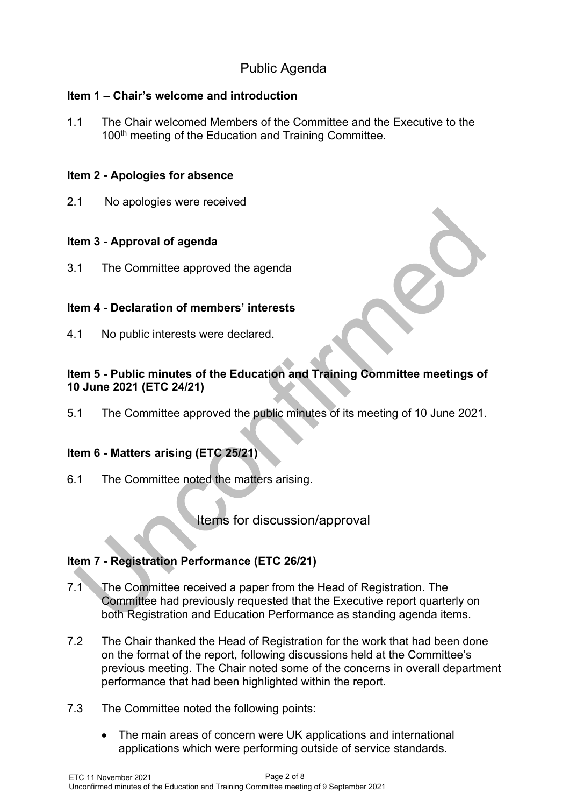# Public Agenda

# **Item 1 – Chair's welcome and introduction**

1.1 The Chair welcomed Members of the Committee and the Executive to the 100<sup>th</sup> meeting of the Education and Training Committee.

#### **Item 2 - Apologies for absence**

2.1 No apologies were received

# **Item 3 - Approval of agenda**

3.1 The Committee approved the agenda

# **Item 4 - Declaration of members' interests**

4.1 No public interests were declared.

# **Item 5 - Public minutes of the Education and Training Committee meetings of 10 June 2021 (ETC 24/21)**

5.1 The Committee approved the public minutes of its meeting of 10 June 2021.

# **Item 6 - Matters arising (ETC 25/21)**

6.1 The Committee noted the matters arising.

Items for discussion/approval

# **Item 7 - Registration Performance (ETC 26/21)**

- 7.1 The Committee received a paper from the Head of Registration. The Committee had previously requested that the Executive report quarterly on both Registration and Education Performance as standing agenda items.
- 7.2 The Chair thanked the Head of Registration for the work that had been done on the format of the report, following discussions held at the Committee's previous meeting. The Chair noted some of the concerns in overall department performance that had been highlighted within the report.
- 7.3 The Committee noted the following points:
	- The main areas of concern were UK applications and international applications which were performing outside of service standards.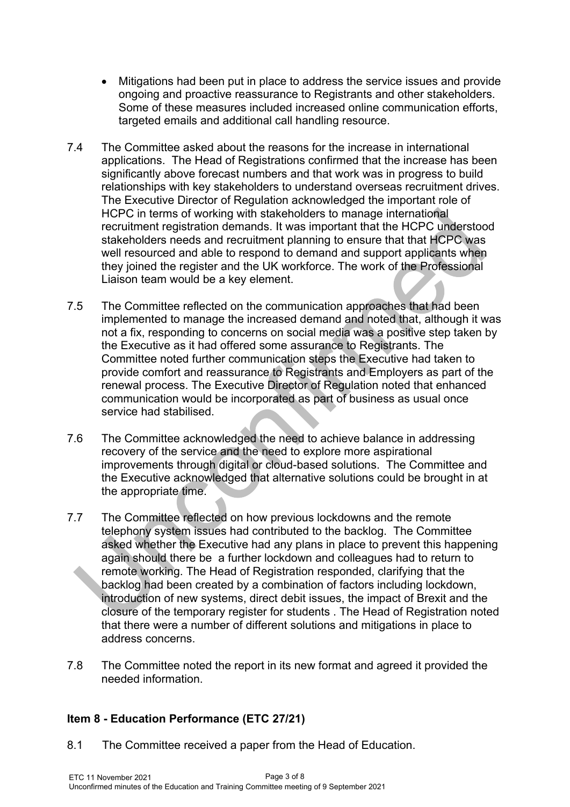- Mitigations had been put in place to address the service issues and provide ongoing and proactive reassurance to Registrants and other stakeholders. Some of these measures included increased online communication efforts, targeted emails and additional call handling resource.
- 7.4 The Committee asked about the reasons for the increase in international applications. The Head of Registrations confirmed that the increase has been significantly above forecast numbers and that work was in progress to build relationships with key stakeholders to understand overseas recruitment drives. The Executive Director of Regulation acknowledged the important role of HCPC in terms of working with stakeholders to manage international recruitment registration demands. It was important that the HCPC understood stakeholders needs and recruitment planning to ensure that that HCPC was well resourced and able to respond to demand and support applicants when they joined the register and the UK workforce. The work of the Professional Liaison team would be a key element.
- 7.5 The Committee reflected on the communication approaches that had been implemented to manage the increased demand and noted that, although it was not a fix, responding to concerns on social media was a positive step taken by the Executive as it had offered some assurance to Registrants. The Committee noted further communication steps the Executive had taken to provide comfort and reassurance to Registrants and Employers as part of the renewal process. The Executive Director of Regulation noted that enhanced communication would be incorporated as part of business as usual once service had stabilised.
- 7.6 The Committee acknowledged the need to achieve balance in addressing recovery of the service and the need to explore more aspirational improvements through digital or cloud-based solutions. The Committee and the Executive acknowledged that alternative solutions could be brought in at the appropriate time.
- 7.7 The Committee reflected on how previous lockdowns and the remote telephony system issues had contributed to the backlog. The Committee asked whether the Executive had any plans in place to prevent this happening again should there be a further lockdown and colleagues had to return to remote working. The Head of Registration responded, clarifying that the backlog had been created by a combination of factors including lockdown, introduction of new systems, direct debit issues, the impact of Brexit and the closure of the temporary register for students . The Head of Registration noted that there were a number of different solutions and mitigations in place to address concerns.
- 7.8 The Committee noted the report in its new format and agreed it provided the needed information.

# **Item 8 - Education Performance (ETC 27/21)**

8.1 The Committee received a paper from the Head of Education.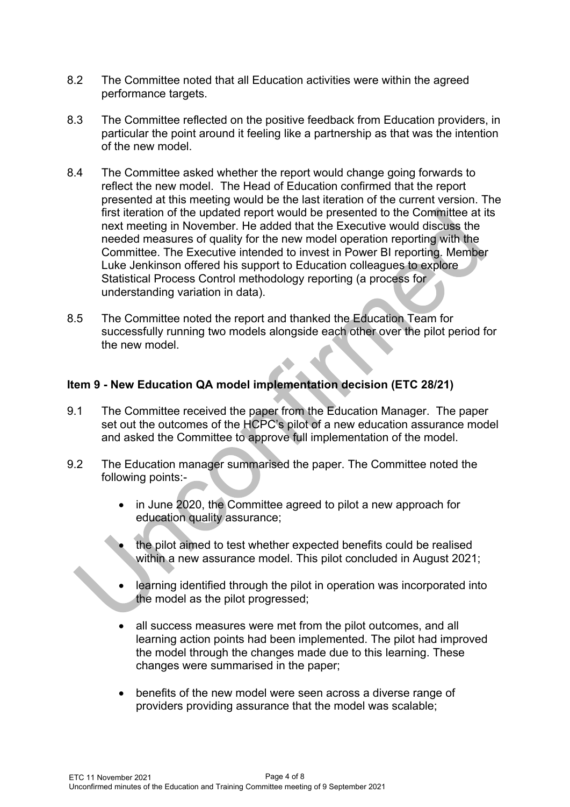- 8.2 The Committee noted that all Education activities were within the agreed performance targets.
- 8.3 The Committee reflected on the positive feedback from Education providers, in particular the point around it feeling like a partnership as that was the intention of the new model.
- 8.4 The Committee asked whether the report would change going forwards to reflect the new model. The Head of Education confirmed that the report presented at this meeting would be the last iteration of the current version. The first iteration of the updated report would be presented to the Committee at its next meeting in November. He added that the Executive would discuss the needed measures of quality for the new model operation reporting with the Committee. The Executive intended to invest in Power BI reporting. Member Luke Jenkinson offered his support to Education colleagues to explore Statistical Process Control methodology reporting (a process for understanding variation in data).
- 8.5 The Committee noted the report and thanked the Education Team for successfully running two models alongside each other over the pilot period for the new model

# **Item 9 - New Education QA model implementation decision (ETC 28/21)**

- 9.1 The Committee received the paper from the Education Manager. The paper set out the outcomes of the HCPC's pilot of a new education assurance model and asked the Committee to approve full implementation of the model.
- 9.2 The Education manager summarised the paper. The Committee noted the following points:
	- in June 2020, the Committee agreed to pilot a new approach for education quality assurance;
	- the pilot aimed to test whether expected benefits could be realised within a new assurance model. This pilot concluded in August 2021;
	- learning identified through the pilot in operation was incorporated into the model as the pilot progressed;
	- all success measures were met from the pilot outcomes, and all learning action points had been implemented. The pilot had improved the model through the changes made due to this learning. These changes were summarised in the paper;
	- benefits of the new model were seen across a diverse range of providers providing assurance that the model was scalable;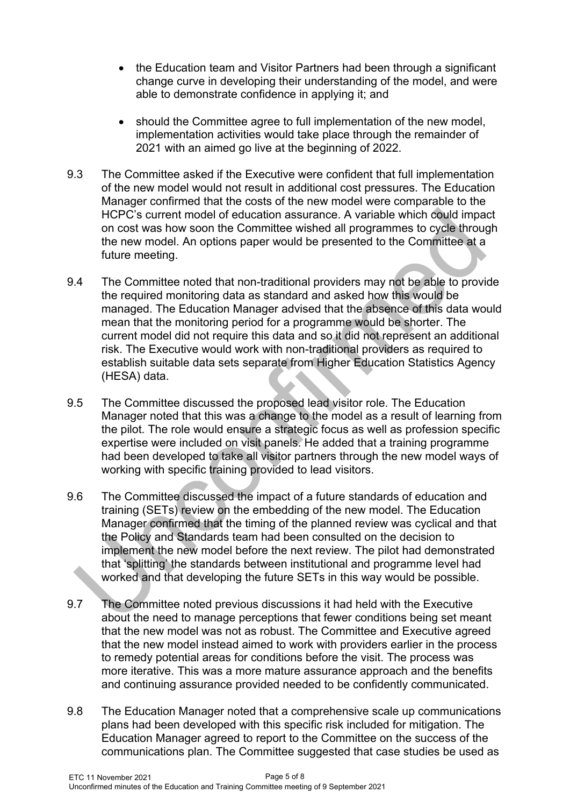- the Education team and Visitor Partners had been through a significant change curve in developing their understanding of the model, and were able to demonstrate confidence in applying it; and
- should the Committee agree to full implementation of the new model, implementation activities would take place through the remainder of 2021 with an aimed go live at the beginning of 2022.
- 9.3 The Committee asked if the Executive were confident that full implementation of the new model would not result in additional cost pressures. The Education Manager confirmed that the costs of the new model were comparable to the HCPC's current model of education assurance. A variable which could impact on cost was how soon the Committee wished all programmes to cycle through the new model. An options paper would be presented to the Committee at a future meeting.
- 9.4 The Committee noted that non-traditional providers may not be able to provide the required monitoring data as standard and asked how this would be managed. The Education Manager advised that the absence of this data would mean that the monitoring period for a programme would be shorter. The current model did not require this data and so it did not represent an additional risk. The Executive would work with non-traditional providers as required to establish suitable data sets separate from Higher Education Statistics Agency (HESA) data.
- 9.5 The Committee discussed the proposed lead visitor role. The Education Manager noted that this was a change to the model as a result of learning from the pilot. The role would ensure a strategic focus as well as profession specific expertise were included on visit panels. He added that a training programme had been developed to take all visitor partners through the new model ways of working with specific training provided to lead visitors.
- 9.6 The Committee discussed the impact of a future standards of education and training (SETs) review on the embedding of the new model. The Education Manager confirmed that the timing of the planned review was cyclical and that the Policy and Standards team had been consulted on the decision to implement the new model before the next review. The pilot had demonstrated that 'splitting' the standards between institutional and programme level had worked and that developing the future SETs in this way would be possible.
- 9.7 The Committee noted previous discussions it had held with the Executive about the need to manage perceptions that fewer conditions being set meant that the new model was not as robust. The Committee and Executive agreed that the new model instead aimed to work with providers earlier in the process to remedy potential areas for conditions before the visit. The process was more iterative. This was a more mature assurance approach and the benefits and continuing assurance provided needed to be confidently communicated.
- 9.8 The Education Manager noted that a comprehensive scale up communications plans had been developed with this specific risk included for mitigation. The Education Manager agreed to report to the Committee on the success of the communications plan. The Committee suggested that case studies be used as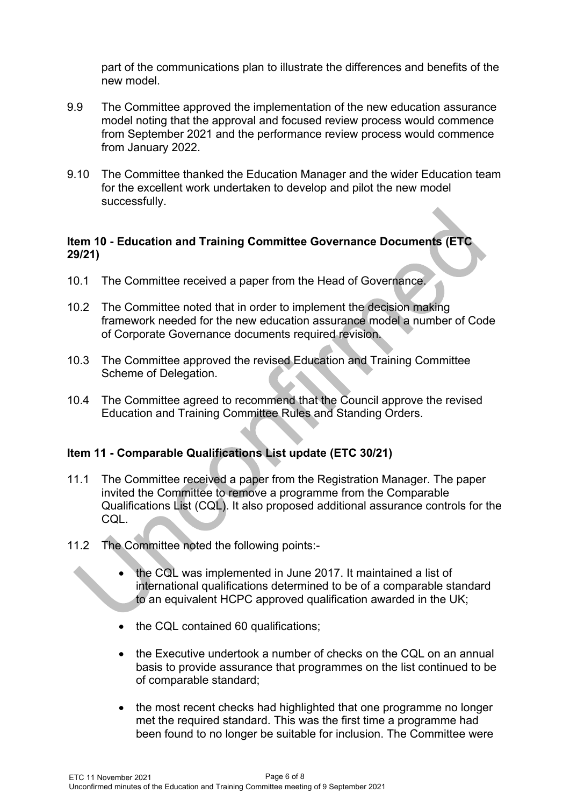part of the communications plan to illustrate the differences and benefits of the new model.

- 9.9 The Committee approved the implementation of the new education assurance model noting that the approval and focused review process would commence from September 2021 and the performance review process would commence from January 2022.
- 9.10 The Committee thanked the Education Manager and the wider Education team for the excellent work undertaken to develop and pilot the new model successfully.

#### **Item 10 - Education and Training Committee Governance Documents (ETC 29/21)**

- 10.1 The Committee received a paper from the Head of Governance.
- 10.2 The Committee noted that in order to implement the decision making framework needed for the new education assurance model a number of Code of Corporate Governance documents required revision.
- 10.3 The Committee approved the revised Education and Training Committee Scheme of Delegation.
- 10.4 The Committee agreed to recommend that the Council approve the revised Education and Training Committee Rules and Standing Orders.

#### **Item 11 - Comparable Qualifications List update (ETC 30/21)**

- 11.1 The Committee received a paper from the Registration Manager. The paper invited the Committee to remove a programme from the Comparable Qualifications List (CQL). It also proposed additional assurance controls for the CQL.
- 11.2 The Committee noted the following points:-
	- the CQL was implemented in June 2017. It maintained a list of international qualifications determined to be of a comparable standard to an equivalent HCPC approved qualification awarded in the UK;
	- the CQL contained 60 qualifications:
	- the Executive undertook a number of checks on the CQL on an annual basis to provide assurance that programmes on the list continued to be of comparable standard;
	- the most recent checks had highlighted that one programme no longer met the required standard. This was the first time a programme had been found to no longer be suitable for inclusion. The Committee were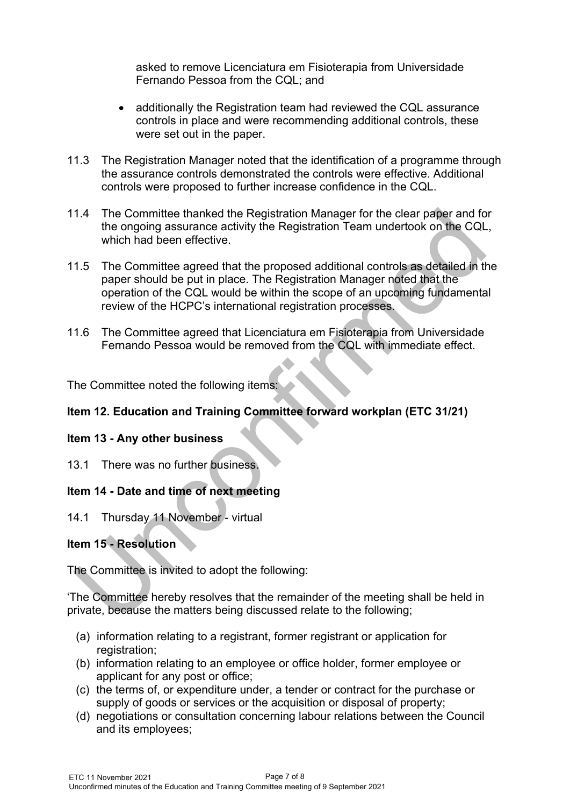asked to remove Licenciatura em Fisioterapia from Universidade Fernando Pessoa from the CQL; and

- additionally the Registration team had reviewed the CQL assurance controls in place and were recommending additional controls, these were set out in the paper.
- 11.3 The Registration Manager noted that the identification of a programme through the assurance controls demonstrated the controls were effective. Additional controls were proposed to further increase confidence in the CQL.
- 11.4 The Committee thanked the Registration Manager for the clear paper and for the ongoing assurance activity the Registration Team undertook on the CQL, which had been effective
- 11.5 The Committee agreed that the proposed additional controls as detailed in the paper should be put in place. The Registration Manager noted that the operation of the CQL would be within the scope of an upcoming fundamental review of the HCPC's international registration processes.
- 11.6 The Committee agreed that Licenciatura em Fisioterapia from Universidade Fernando Pessoa would be removed from the CQL with immediate effect.

The Committee noted the following items:

#### **Item 12. Education and Training Committee forward workplan (ETC 31/21)**

#### **Item 13 - Any other business**

13.1 There was no further business.

# **Item 14 - Date and time of next meeting**

14.1 Thursday 11 November - virtual

#### **Item 15 - Resolution**

The Committee is invited to adopt the following:

'The Committee hereby resolves that the remainder of the meeting shall be held in private, because the matters being discussed relate to the following;

- (a) information relating to a registrant, former registrant or application for registration;
- (b) information relating to an employee or office holder, former employee or applicant for any post or office;
- (c) the terms of, or expenditure under, a tender or contract for the purchase or supply of goods or services or the acquisition or disposal of property;
- (d) negotiations or consultation concerning labour relations between the Council and its employees;